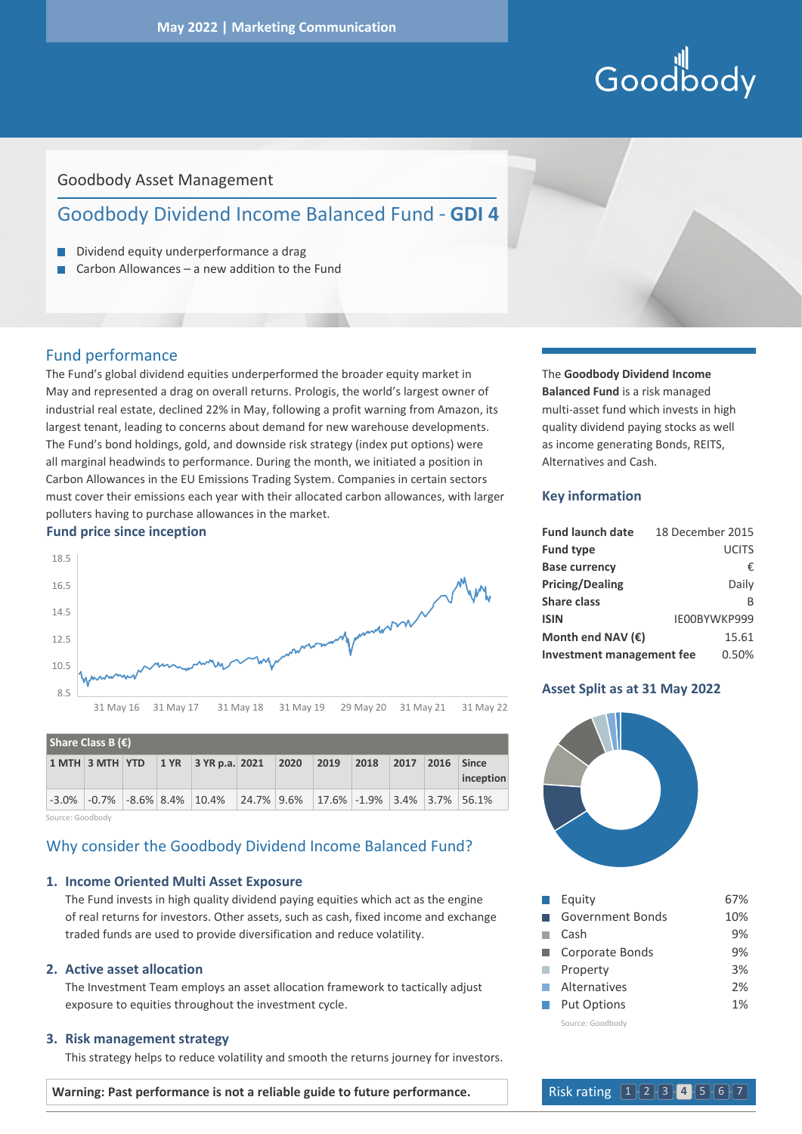# Goodbody

# Goodbody Asset Management

# Goodbody Dividend Income Balanced Fund - **GDI 4**

- Dividend equity underperformance a drag
- Carbon Allowances a new addition to the Fund п

# Fund performance

The Fund's global dividend equities underperformed the broader equity market in May and represented a drag on overall returns. Prologis, the world's largest owner of industrial real estate, declined 22% in May, following a profit warning from Amazon, its largest tenant, leading to concerns about demand for new warehouse developments. The Fund's bond holdings, gold, and downside risk strategy (index put options) were all marginal headwinds to performance. During the month, we initiated a position in Carbon Allowances in the EU Emissions Trading System. Companies in certain sectors must cover their emissions each year with their allocated carbon allowances, with larger polluters having to purchase allowances in the market.

#### **Fund price since inception**



| Share Class B $(\epsilon)$ |  |  |  |                                                                              |  |  |                |      |      |      |                    |
|----------------------------|--|--|--|------------------------------------------------------------------------------|--|--|----------------|------|------|------|--------------------|
|                            |  |  |  | 1 MTH 3 MTH YTD 1 YR 3 YR p.a. 2021 2020                                     |  |  | $ 2019\rangle$ | 2018 | 2017 | 2016 | Since<br>inception |
|                            |  |  |  | $-3.0\%$ $-0.7\%$ $-8.6\%$ 8.4% 10.4% 24.7% 9.6% 17.6% -1.9% 3.4% 3.7% 56.1% |  |  |                |      |      |      |                    |

Source: Goodbody

# Why consider the Goodbody Dividend Income Balanced Fund?

# **1. Income Oriented Multi Asset Exposure**

 The Fund invests in high quality dividend paying equities which act as the engine of real returns for investors. Other assets, such as cash, fixed income and exchange traded funds are used to provide diversification and reduce volatility.

# **2. Active asset allocation**

 The Investment Team employs an asset allocation framework to tactically adjust exposure to equities throughout the investment cycle.

# **3. Risk management strategy**

This strategy helps to reduce volatility and smooth the returns journey for investors.

The **Goodbody Dividend Income Balanced Fund** is a risk managed multi-asset fund which invests in high quality dividend paying stocks as well as income generating Bonds, REITS, Alternatives and Cash.

#### **Key information**

| <b>Fund launch date</b>          | 18 December 2015 |
|----------------------------------|------------------|
| <b>Fund type</b>                 | <b>UCITS</b>     |
| <b>Base currency</b>             | €                |
| <b>Pricing/Dealing</b>           | Daily            |
| Share class                      | R                |
| <b>ISIN</b>                      | IE00BYWKP999     |
| Month end NAV $(\epsilon)$       | 15.61            |
| <b>Investment management fee</b> | 0.50%            |

### **Asset Split as at 31 May 2022**



|               | Equity             | 67% |
|---------------|--------------------|-----|
|               | Government Bonds   | 10% |
|               | Cash               | 9%  |
|               | Corporate Bonds    | 9%  |
|               | Property           | 3%  |
|               | Alternatives       | 2%  |
| <b>The Co</b> | <b>Put Options</b> | 1%  |
|               | Source: Goodbody   |     |

**Warning: Past performance is not a reliable guide to future performance.** Risk rating 1 2 3 4 5 6 7